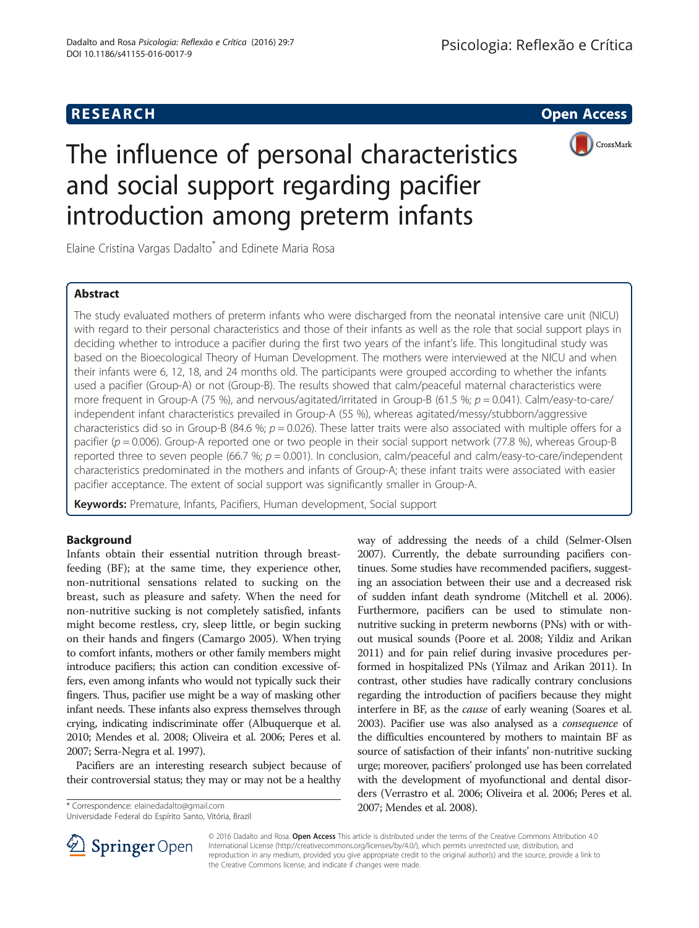## **RESEARCH CHILD CONTROL** CONTROL CONTROL CONTROL CONTROL CONTROL CONTROL CONTROL CONTROL CONTROL CONTROL CONTROL CONTROL CONTROL CONTROL CONTROL CONTROL CONTROL CONTROL CONTROL CONTROL CONTROL CONTROL CONTROL CONTROL CONTR



# The influence of personal characteristics and social support regarding pacifier introduction among preterm infants

Elaine Cristina Vargas Dadalto\* and Edinete Maria Rosa

## Abstract

The study evaluated mothers of preterm infants who were discharged from the neonatal intensive care unit (NICU) with regard to their personal characteristics and those of their infants as well as the role that social support plays in deciding whether to introduce a pacifier during the first two years of the infant's life. This longitudinal study was based on the Bioecological Theory of Human Development. The mothers were interviewed at the NICU and when their infants were 6, 12, 18, and 24 months old. The participants were grouped according to whether the infants used a pacifier (Group-A) or not (Group-B). The results showed that calm/peaceful maternal characteristics were more frequent in Group-A (75 %), and nervous/agitated/irritated in Group-B (61.5 %;  $p = 0.041$ ). Calm/easy-to-care/ independent infant characteristics prevailed in Group-A (55 %), whereas agitated/messy/stubborn/aggressive characteristics did so in Group-B (84.6 %;  $p = 0.026$ ). These latter traits were also associated with multiple offers for a pacifier ( $p = 0.006$ ). Group-A reported one or two people in their social support network (77.8 %), whereas Group-B reported three to seven people (66.7 %;  $p = 0.001$ ). In conclusion, calm/peaceful and calm/easy-to-care/independent characteristics predominated in the mothers and infants of Group-A; these infant traits were associated with easier pacifier acceptance. The extent of social support was significantly smaller in Group-A.

Keywords: Premature, Infants, Pacifiers, Human development, Social support

## Background

Infants obtain their essential nutrition through breastfeeding (BF); at the same time, they experience other, non-nutritional sensations related to sucking on the breast, such as pleasure and safety. When the need for non-nutritive sucking is not completely satisfied, infants might become restless, cry, sleep little, or begin sucking on their hands and fingers (Camargo [2005\)](#page-6-0). When trying to comfort infants, mothers or other family members might introduce pacifiers; this action can condition excessive offers, even among infants who would not typically suck their fingers. Thus, pacifier use might be a way of masking other infant needs. These infants also express themselves through crying, indicating indiscriminate offer (Albuquerque et al. [2010;](#page-6-0) Mendes et al. [2008](#page-7-0); Oliveira et al. [2006;](#page-7-0) Peres et al. [2007;](#page-7-0) Serra-Negra et al. [1997\)](#page-7-0).

Pacifiers are an interesting research subject because of their controversial status; they may or may not be a healthy

[2007;](#page-7-0) Mendes et al. [2008\)](#page-7-0). \* Correspondence: [elainedadalto@gmail.com](mailto:elainedadalto@gmail.com)

Universidade Federal do Espírito Santo, Vitória, Brazil

way of addressing the needs of a child (Selmer-Olsen [2007\)](#page-7-0). Currently, the debate surrounding pacifiers continues. Some studies have recommended pacifiers, suggesting an association between their use and a decreased risk of sudden infant death syndrome (Mitchell et al. [2006](#page-7-0)). Furthermore, pacifiers can be used to stimulate nonnutritive sucking in preterm newborns (PNs) with or without musical sounds (Poore et al. [2008](#page-7-0); Yildiz and Arikan [2011\)](#page-7-0) and for pain relief during invasive procedures performed in hospitalized PNs (Yilmaz and Arikan [2011](#page-7-0)). In contrast, other studies have radically contrary conclusions regarding the introduction of pacifiers because they might interfere in BF, as the cause of early weaning (Soares et al. [2003\)](#page-7-0). Pacifier use was also analysed as a consequence of the difficulties encountered by mothers to maintain BF as source of satisfaction of their infants' non-nutritive sucking urge; moreover, pacifiers' prolonged use has been correlated with the development of myofunctional and dental disorders (Verrastro et al. [2006](#page-7-0); Oliveira et al. [2006;](#page-7-0) Peres et al.



© 2016 Dadalto and Rosa. Open Access This article is distributed under the terms of the Creative Commons Attribution 4.0 International License ([http://creativecommons.org/licenses/by/4.0/\)](http://creativecommons.org/licenses/by/4.0/), which permits unrestricted use, distribution, and reproduction in any medium, provided you give appropriate credit to the original author(s) and the source, provide a link to the Creative Commons license, and indicate if changes were made.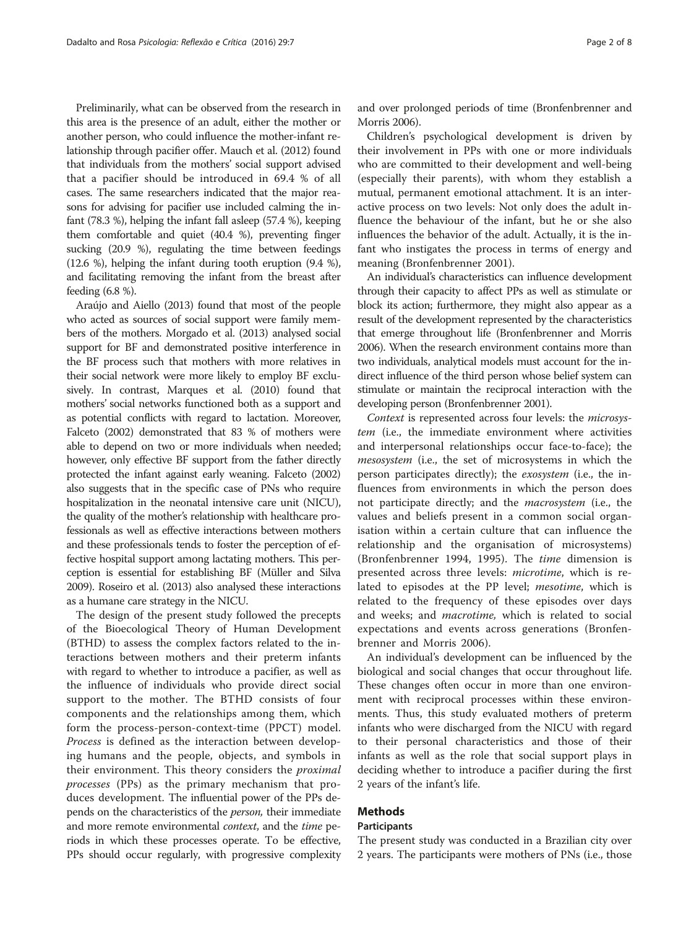Preliminarily, what can be observed from the research in this area is the presence of an adult, either the mother or another person, who could influence the mother-infant relationship through pacifier offer. Mauch et al. [\(2012](#page-7-0)) found that individuals from the mothers' social support advised that a pacifier should be introduced in 69.4 % of all cases. The same researchers indicated that the major reasons for advising for pacifier use included calming the infant (78.3 %), helping the infant fall asleep (57.4 %), keeping them comfortable and quiet (40.4 %), preventing finger sucking (20.9 %), regulating the time between feedings (12.6 %), helping the infant during tooth eruption (9.4 %), and facilitating removing the infant from the breast after feeding (6.8 %).

Araújo and Aiello [\(2013\)](#page-6-0) found that most of the people who acted as sources of social support were family members of the mothers. Morgado et al. ([2013\)](#page-7-0) analysed social support for BF and demonstrated positive interference in the BF process such that mothers with more relatives in their social network were more likely to employ BF exclusively. In contrast, Marques et al. [\(2010](#page-7-0)) found that mothers' social networks functioned both as a support and as potential conflicts with regard to lactation. Moreover, Falceto [\(2002\)](#page-6-0) demonstrated that 83 % of mothers were able to depend on two or more individuals when needed; however, only effective BF support from the father directly protected the infant against early weaning. Falceto [\(2002](#page-6-0)) also suggests that in the specific case of PNs who require hospitalization in the neonatal intensive care unit (NICU), the quality of the mother's relationship with healthcare professionals as well as effective interactions between mothers and these professionals tends to foster the perception of effective hospital support among lactating mothers. This perception is essential for establishing BF (Müller and Silva [2009\)](#page-7-0). Roseiro et al. ([2013](#page-7-0)) also analysed these interactions as a humane care strategy in the NICU.

The design of the present study followed the precepts of the Bioecological Theory of Human Development (BTHD) to assess the complex factors related to the interactions between mothers and their preterm infants with regard to whether to introduce a pacifier, as well as the influence of individuals who provide direct social support to the mother. The BTHD consists of four components and the relationships among them, which form the process-person-context-time (PPCT) model. Process is defined as the interaction between developing humans and the people, objects, and symbols in their environment. This theory considers the *proximal* processes (PPs) as the primary mechanism that produces development. The influential power of the PPs depends on the characteristics of the person, their immediate and more remote environmental *context*, and the *time* periods in which these processes operate. To be effective, PPs should occur regularly, with progressive complexity

and over prolonged periods of time (Bronfenbrenner and Morris [2006\)](#page-6-0).

Children's psychological development is driven by their involvement in PPs with one or more individuals who are committed to their development and well-being (especially their parents), with whom they establish a mutual, permanent emotional attachment. It is an interactive process on two levels: Not only does the adult influence the behaviour of the infant, but he or she also influences the behavior of the adult. Actually, it is the infant who instigates the process in terms of energy and meaning (Bronfenbrenner [2001](#page-6-0)).

An individual's characteristics can influence development through their capacity to affect PPs as well as stimulate or block its action; furthermore, they might also appear as a result of the development represented by the characteristics that emerge throughout life (Bronfenbrenner and Morris [2006\)](#page-6-0). When the research environment contains more than two individuals, analytical models must account for the indirect influence of the third person whose belief system can stimulate or maintain the reciprocal interaction with the developing person (Bronfenbrenner [2001](#page-6-0)).

Context is represented across four levels: the microsystem (i.e., the immediate environment where activities and interpersonal relationships occur face-to-face); the mesosystem (i.e., the set of microsystems in which the person participates directly); the exosystem (i.e., the influences from environments in which the person does not participate directly; and the macrosystem (i.e., the values and beliefs present in a common social organisation within a certain culture that can influence the relationship and the organisation of microsystems) (Bronfenbrenner [1994](#page-6-0), [1995](#page-6-0)). The time dimension is presented across three levels: microtime, which is related to episodes at the PP level; mesotime, which is related to the frequency of these episodes over days and weeks; and macrotime, which is related to social expectations and events across generations (Bronfenbrenner and Morris [2006\)](#page-6-0).

An individual's development can be influenced by the biological and social changes that occur throughout life. These changes often occur in more than one environment with reciprocal processes within these environments. Thus, this study evaluated mothers of preterm infants who were discharged from the NICU with regard to their personal characteristics and those of their infants as well as the role that social support plays in deciding whether to introduce a pacifier during the first 2 years of the infant's life.

## Methods

## Participants

The present study was conducted in a Brazilian city over 2 years. The participants were mothers of PNs (i.e., those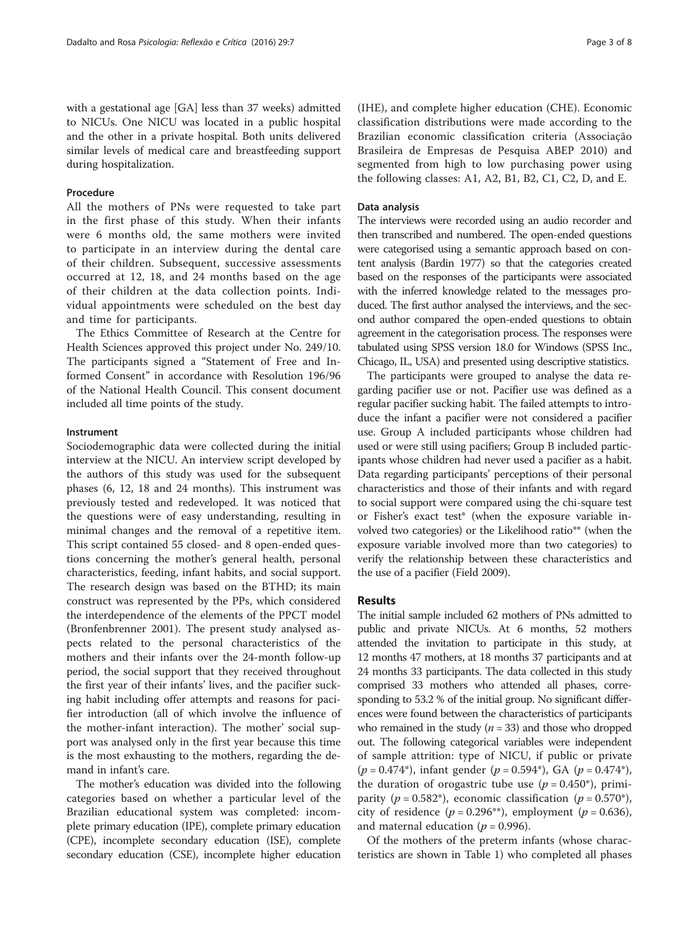with a gestational age [GA] less than 37 weeks) admitted to NICUs. One NICU was located in a public hospital and the other in a private hospital. Both units delivered similar levels of medical care and breastfeeding support during hospitalization.

### Procedure

All the mothers of PNs were requested to take part in the first phase of this study. When their infants were 6 months old, the same mothers were invited to participate in an interview during the dental care of their children. Subsequent, successive assessments occurred at 12, 18, and 24 months based on the age of their children at the data collection points. Individual appointments were scheduled on the best day and time for participants.

The Ethics Committee of Research at the Centre for Health Sciences approved this project under No. 249/10. The participants signed a "Statement of Free and Informed Consent" in accordance with Resolution 196/96 of the National Health Council. This consent document included all time points of the study.

#### Instrument

Sociodemographic data were collected during the initial interview at the NICU. An interview script developed by the authors of this study was used for the subsequent phases (6, 12, 18 and 24 months). This instrument was previously tested and redeveloped. It was noticed that the questions were of easy understanding, resulting in minimal changes and the removal of a repetitive item. This script contained 55 closed- and 8 open-ended questions concerning the mother's general health, personal characteristics, feeding, infant habits, and social support. The research design was based on the BTHD; its main construct was represented by the PPs, which considered the interdependence of the elements of the PPCT model (Bronfenbrenner [2001\)](#page-6-0). The present study analysed aspects related to the personal characteristics of the mothers and their infants over the 24-month follow-up period, the social support that they received throughout the first year of their infants' lives, and the pacifier sucking habit including offer attempts and reasons for pacifier introduction (all of which involve the influence of the mother-infant interaction). The mother' social support was analysed only in the first year because this time is the most exhausting to the mothers, regarding the demand in infant's care.

The mother's education was divided into the following categories based on whether a particular level of the Brazilian educational system was completed: incomplete primary education (IPE), complete primary education (CPE), incomplete secondary education (ISE), complete secondary education (CSE), incomplete higher education

(IHE), and complete higher education (CHE). Economic classification distributions were made according to the Brazilian economic classification criteria (Associação Brasileira de Empresas de Pesquisa ABEP [2010\)](#page-6-0) and segmented from high to low purchasing power using the following classes: A1, A2, B1, B2, C1, C2, D, and E.

#### Data analysis

The interviews were recorded using an audio recorder and then transcribed and numbered. The open-ended questions were categorised using a semantic approach based on content analysis (Bardin [1977](#page-6-0)) so that the categories created based on the responses of the participants were associated with the inferred knowledge related to the messages produced. The first author analysed the interviews, and the second author compared the open-ended questions to obtain agreement in the categorisation process. The responses were tabulated using SPSS version 18.0 for Windows (SPSS Inc., Chicago, IL, USA) and presented using descriptive statistics.

The participants were grouped to analyse the data regarding pacifier use or not. Pacifier use was defined as a regular pacifier sucking habit. The failed attempts to introduce the infant a pacifier were not considered a pacifier use. Group A included participants whose children had used or were still using pacifiers; Group B included participants whose children had never used a pacifier as a habit. Data regarding participants' perceptions of their personal characteristics and those of their infants and with regard to social support were compared using the chi-square test or Fisher's exact test\* (when the exposure variable involved two categories) or the Likelihood ratio\*\* (when the exposure variable involved more than two categories) to verify the relationship between these characteristics and the use of a pacifier (Field [2009\)](#page-6-0).

#### Results

The initial sample included 62 mothers of PNs admitted to public and private NICUs. At 6 months, 52 mothers attended the invitation to participate in this study, at 12 months 47 mothers, at 18 months 37 participants and at 24 months 33 participants. The data collected in this study comprised 33 mothers who attended all phases, corresponding to 53.2 % of the initial group. No significant differences were found between the characteristics of participants who remained in the study ( $n = 33$ ) and those who dropped out. The following categorical variables were independent of sample attrition: type of NICU, if public or private  $(p = 0.474^*)$ , infant gender  $(p = 0.594^*)$ , GA  $(p = 0.474^*)$ , the duration of orogastric tube use ( $p = 0.450^*$ ), primiparity ( $p = 0.582$ <sup>\*</sup>), economic classification ( $p = 0.570$ <sup>\*</sup>), city of residence ( $p = 0.296**$ ), employment ( $p = 0.636$ ), and maternal education ( $p = 0.996$ ).

Of the mothers of the preterm infants (whose characteristics are shown in Table [1](#page-3-0)) who completed all phases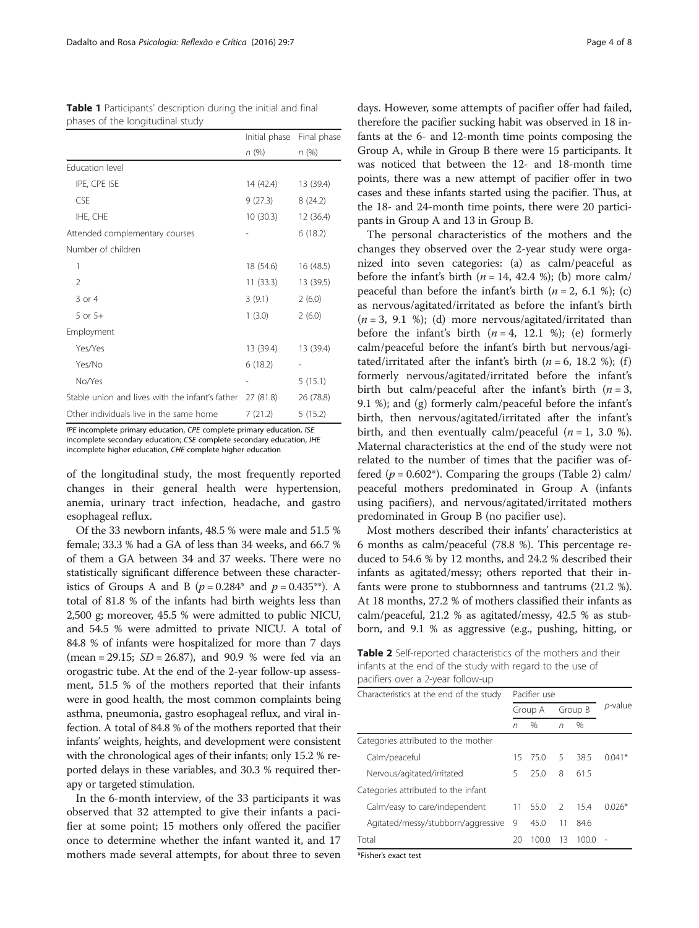<span id="page-3-0"></span>

| <b>Table 1</b> Participants' description during the initial and final |  |  |  |
|-----------------------------------------------------------------------|--|--|--|
| phases of the longitudinal study                                      |  |  |  |

|                                                 | Initial phase | Final phase |
|-------------------------------------------------|---------------|-------------|
|                                                 | n(%)          | n(%)        |
| <b>Education level</b>                          |               |             |
| IPE, CPE ISE                                    | 14 (42.4)     | 13 (39.4)   |
| <b>CSE</b>                                      | 9(27.3)       | 8(24.2)     |
| IHE, CHE                                        | 10(30.3)      | 12 (36.4)   |
| Attended complementary courses                  |               | 6(18.2)     |
| Number of children                              |               |             |
| 1                                               | 18 (54.6)     | 16 (48.5)   |
| $\mathfrak{D}$                                  | 11(33.3)      | 13 (39.5)   |
| 3 or 4                                          | 3(9.1)        | 2(6.0)      |
| $5$ or $5+$                                     | 1(3.0)        | 2(6.0)      |
| Employment                                      |               |             |
| Yes/Yes                                         | 13 (39.4)     | 13 (39.4)   |
| Yes/No                                          | 6(18.2)       |             |
| No/Yes                                          |               | 5(15.1)     |
| Stable union and lives with the infant's father | 27 (81.8)     | 26 (78.8)   |
| Other individuals live in the same home         | 7(21.2)       | 5(15.2)     |

IPE incomplete primary education, CPE complete primary education, ISE incomplete secondary education; CSE complete secondary education, IHE incomplete higher education, CHE complete higher education

of the longitudinal study, the most frequently reported changes in their general health were hypertension, anemia, urinary tract infection, headache, and gastro esophageal reflux.

Of the 33 newborn infants, 48.5 % were male and 51.5 % female; 33.3 % had a GA of less than 34 weeks, and 66.7 % of them a GA between 34 and 37 weeks. There were no statistically significant difference between these characteristics of Groups A and B  $(p = 0.284^*)$  and  $p = 0.435^{**}$ . A total of 81.8 % of the infants had birth weights less than 2,500 g; moreover, 45.5 % were admitted to public NICU, and 54.5 % were admitted to private NICU. A total of 84.8 % of infants were hospitalized for more than 7 days (mean = 29.15;  $SD = 26.87$ ), and 90.9 % were fed via an orogastric tube. At the end of the 2-year follow-up assessment, 51.5 % of the mothers reported that their infants were in good health, the most common complaints being asthma, pneumonia, gastro esophageal reflux, and viral infection. A total of 84.8 % of the mothers reported that their infants' weights, heights, and development were consistent with the chronological ages of their infants; only 15.2 % reported delays in these variables, and 30.3 % required therapy or targeted stimulation.

In the 6-month interview, of the 33 participants it was observed that 32 attempted to give their infants a pacifier at some point; 15 mothers only offered the pacifier once to determine whether the infant wanted it, and 17 mothers made several attempts, for about three to seven days. However, some attempts of pacifier offer had failed, therefore the pacifier sucking habit was observed in 18 infants at the 6- and 12-month time points composing the Group A, while in Group B there were 15 participants. It was noticed that between the 12- and 18-month time points, there was a new attempt of pacifier offer in two cases and these infants started using the pacifier. Thus, at the 18- and 24-month time points, there were 20 participants in Group A and 13 in Group B.

The personal characteristics of the mothers and the changes they observed over the 2-year study were organized into seven categories: (a) as calm/peaceful as before the infant's birth  $(n = 14, 42.4 \%)$ ; (b) more calm/ peaceful than before the infant's birth  $(n = 2, 6.1 \%)$ ; (c) as nervous/agitated/irritated as before the infant's birth  $(n = 3, 9.1 \%)$ ; (d) more nervous/agitated/irritated than before the infant's birth  $(n = 4, 12.1 \%)$ ; (e) formerly calm/peaceful before the infant's birth but nervous/agitated/irritated after the infant's birth  $(n = 6, 18.2 \%)$ ; (f) formerly nervous/agitated/irritated before the infant's birth but calm/peaceful after the infant's birth  $(n = 3,$ 9.1 %); and (g) formerly calm/peaceful before the infant's birth, then nervous/agitated/irritated after the infant's birth, and then eventually calm/peaceful  $(n = 1, 3.0 %)$ . Maternal characteristics at the end of the study were not related to the number of times that the pacifier was offered ( $p = 0.602^*$ ). Comparing the groups (Table 2) calm/ peaceful mothers predominated in Group A (infants using pacifiers), and nervous/agitated/irritated mothers predominated in Group B (no pacifier use).

Most mothers described their infants' characteristics at 6 months as calm/peaceful (78.8 %). This percentage reduced to 54.6 % by 12 months, and 24.2 % described their infants as agitated/messy; others reported that their infants were prone to stubbornness and tantrums (21.2 %). At 18 months, 27.2 % of mothers classified their infants as calm/peaceful, 21.2 % as agitated/messy, 42.5 % as stubborn, and 9.1 % as aggressive (e.g., pushing, hitting, or

Table 2 Self-reported characteristics of the mothers and their infants at the end of the study with regard to the use of pacifiers over a 2-year follow-up

| Characteristics at the end of the study |         | Pacifier use |               |               |            |  |
|-----------------------------------------|---------|--------------|---------------|---------------|------------|--|
|                                         | Group A |              | Group B       |               | $p$ -value |  |
|                                         | n       | $\%$         | n             | $\frac{0}{0}$ |            |  |
| Categories attributed to the mother     |         |              |               |               |            |  |
| Calm/peaceful                           | 15.     | 75.0         | 5             | 38.5          | $0.041*$   |  |
| Nervous/agitated/irritated              | 5       | 25.0         | 8             | 615           |            |  |
| Categories attributed to the infant     |         |              |               |               |            |  |
| Calm/easy to care/independent           | 11      | 55.0         | $\mathcal{L}$ | 15.4          | $0.026*$   |  |
| Agitated/messy/stubborn/aggressive      | 9       | 45.0         | 11            | 84.6          |            |  |
| Total                                   | 20      | 100.0        | 13            | 100.0         |            |  |

\*Fisher's exact test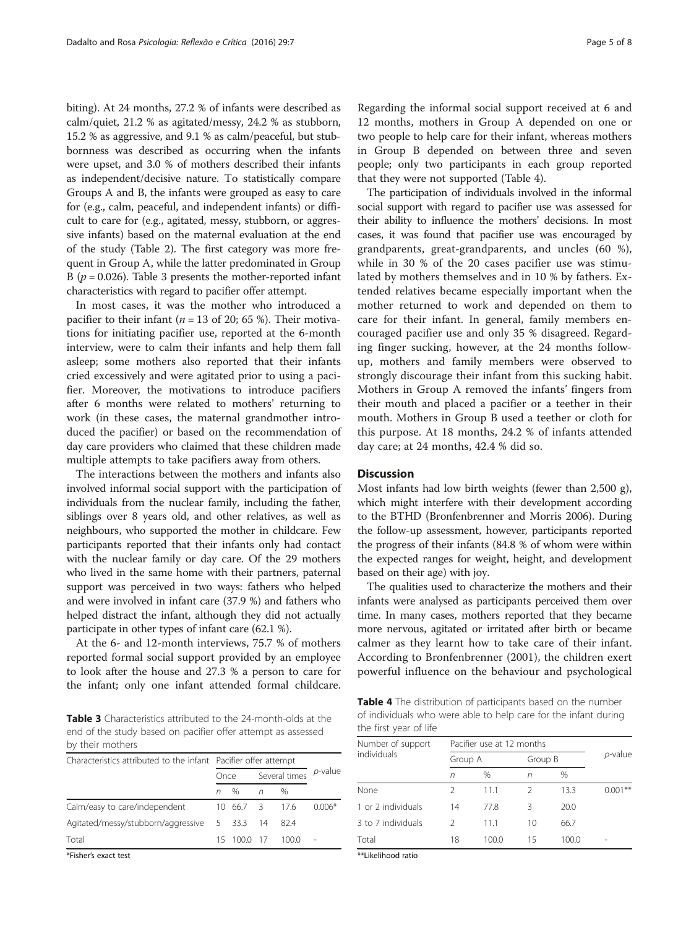biting). At 24 months, 27.2 % of infants were described as calm/quiet, 21.2 % as agitated/messy, 24.2 % as stubborn, 15.2 % as aggressive, and 9.1 % as calm/peaceful, but stubbornness was described as occurring when the infants were upset, and 3.0 % of mothers described their infants as independent/decisive nature. To statistically compare Groups A and B, the infants were grouped as easy to care for (e.g., calm, peaceful, and independent infants) or difficult to care for (e.g., agitated, messy, stubborn, or aggressive infants) based on the maternal evaluation at the end of the study (Table [2](#page-3-0)). The first category was more frequent in Group A, while the latter predominated in Group B ( $p = 0.026$ ). Table 3 presents the mother-reported infant characteristics with regard to pacifier offer attempt.

In most cases, it was the mother who introduced a pacifier to their infant ( $n = 13$  of 20; 65 %). Their motivations for initiating pacifier use, reported at the 6-month interview, were to calm their infants and help them fall asleep; some mothers also reported that their infants cried excessively and were agitated prior to using a pacifier. Moreover, the motivations to introduce pacifiers after 6 months were related to mothers' returning to work (in these cases, the maternal grandmother introduced the pacifier) or based on the recommendation of day care providers who claimed that these children made multiple attempts to take pacifiers away from others.

The interactions between the mothers and infants also involved informal social support with the participation of individuals from the nuclear family, including the father, siblings over 8 years old, and other relatives, as well as neighbours, who supported the mother in childcare. Few participants reported that their infants only had contact with the nuclear family or day care. Of the 29 mothers who lived in the same home with their partners, paternal support was perceived in two ways: fathers who helped and were involved in infant care (37.9 %) and fathers who helped distract the infant, although they did not actually participate in other types of infant care (62.1 %).

At the 6- and 12-month interviews, 75.7 % of mothers reported formal social support provided by an employee to look after the house and 27.3 % a person to care for the infant; only one infant attended formal childcare.

Table 3 Characteristics attributed to the 24-month-olds at the end of the study based on pacifier offer attempt as assessed by their mothers

| Characteristics attributed to the infant Pacifier offer attempt |      |                |               |        |                 |
|-----------------------------------------------------------------|------|----------------|---------------|--------|-----------------|
|                                                                 | Once |                | Several times |        | <i>p</i> -value |
|                                                                 | n    | %              | n             | $\%$   |                 |
| Calm/easy to care/independent                                   |      | 10 66.7 3 17.6 |               |        | $0.006*$        |
| Agitated/messy/stubborn/aggressive 5 33.3 14                    |      |                |               | - 82.4 |                 |
| Total                                                           |      | 15 100.0 17    |               | 100.0  |                 |
|                                                                 |      |                |               |        |                 |

\*Fisher's exact test

Regarding the informal social support received at 6 and 12 months, mothers in Group A depended on one or two people to help care for their infant, whereas mothers in Group B depended on between three and seven people; only two participants in each group reported that they were not supported (Table 4).

The participation of individuals involved in the informal social support with regard to pacifier use was assessed for their ability to influence the mothers' decisions. In most cases, it was found that pacifier use was encouraged by grandparents, great-grandparents, and uncles (60 %), while in 30 % of the 20 cases pacifier use was stimulated by mothers themselves and in 10 % by fathers. Extended relatives became especially important when the mother returned to work and depended on them to care for their infant. In general, family members encouraged pacifier use and only 35 % disagreed. Regarding finger sucking, however, at the 24 months followup, mothers and family members were observed to strongly discourage their infant from this sucking habit. Mothers in Group A removed the infants' fingers from their mouth and placed a pacifier or a teether in their mouth. Mothers in Group B used a teether or cloth for this purpose. At 18 months, 24.2 % of infants attended day care; at 24 months, 42.4 % did so.

#### **Discussion**

Most infants had low birth weights (fewer than 2,500 g), which might interfere with their development according to the BTHD (Bronfenbrenner and Morris [2006\)](#page-6-0). During the follow-up assessment, however, participants reported the progress of their infants (84.8 % of whom were within the expected ranges for weight, height, and development based on their age) with joy.

The qualities used to characterize the mothers and their infants were analysed as participants perceived them over time. In many cases, mothers reported that they became more nervous, agitated or irritated after birth or became calmer as they learnt how to take care of their infant. According to Bronfenbrenner ([2001](#page-6-0)), the children exert powerful influence on the behaviour and psychological

Table 4 The distribution of participants based on the number of individuals who were able to help care for the infant during the first year of life

| Number of support  | Pacifier use at 12 months |       |         |       |                 |
|--------------------|---------------------------|-------|---------|-------|-----------------|
| individuals        | Group A                   |       | Group B |       | <i>p</i> -value |
|                    | n                         | $\%$  | n       | $\%$  |                 |
| None               | 2                         | 111   |         | 13.3  | $0.001***$      |
| 1 or 2 individuals | 14                        | 778   | 3       | 20.0  |                 |
| 3 to 7 individuals | $\mathcal{P}$             | 111   | 10      | 66.7  |                 |
| Total              | 18                        | 100.0 | 15      | 100.0 |                 |

\*\*Likelihood ratio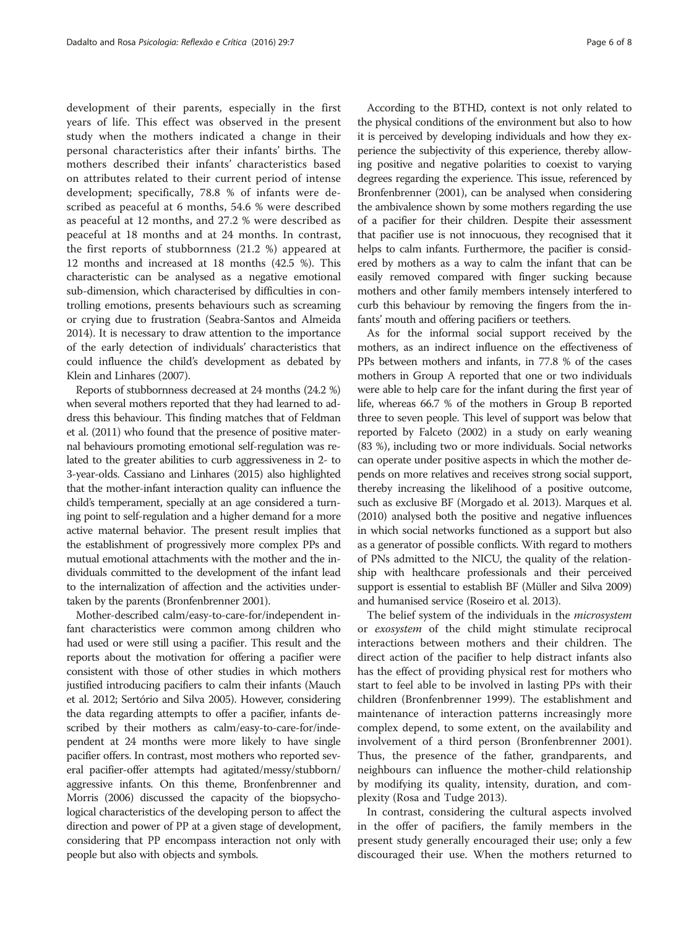development of their parents, especially in the first years of life. This effect was observed in the present study when the mothers indicated a change in their personal characteristics after their infants' births. The mothers described their infants' characteristics based on attributes related to their current period of intense development; specifically, 78.8 % of infants were described as peaceful at 6 months, 54.6 % were described as peaceful at 12 months, and 27.2 % were described as peaceful at 18 months and at 24 months. In contrast, the first reports of stubbornness (21.2 %) appeared at 12 months and increased at 18 months (42.5 %). This characteristic can be analysed as a negative emotional sub-dimension, which characterised by difficulties in controlling emotions, presents behaviours such as screaming or crying due to frustration (Seabra-Santos and Almeida [2014\)](#page-7-0). It is necessary to draw attention to the importance of the early detection of individuals' characteristics that could influence the child's development as debated by Klein and Linhares ([2007](#page-6-0)).

Reports of stubbornness decreased at 24 months (24.2 %) when several mothers reported that they had learned to address this behaviour. This finding matches that of Feldman et al. [\(2011\)](#page-6-0) who found that the presence of positive maternal behaviours promoting emotional self-regulation was related to the greater abilities to curb aggressiveness in 2- to 3-year-olds. Cassiano and Linhares [\(2015](#page-6-0)) also highlighted that the mother-infant interaction quality can influence the child's temperament, specially at an age considered a turning point to self-regulation and a higher demand for a more active maternal behavior. The present result implies that the establishment of progressively more complex PPs and mutual emotional attachments with the mother and the individuals committed to the development of the infant lead to the internalization of affection and the activities undertaken by the parents (Bronfenbrenner [2001\)](#page-6-0).

Mother-described calm/easy-to-care-for/independent infant characteristics were common among children who had used or were still using a pacifier. This result and the reports about the motivation for offering a pacifier were consistent with those of other studies in which mothers justified introducing pacifiers to calm their infants (Mauch et al. [2012](#page-7-0); Sertório and Silva [2005\)](#page-7-0). However, considering the data regarding attempts to offer a pacifier, infants described by their mothers as calm/easy-to-care-for/independent at 24 months were more likely to have single pacifier offers. In contrast, most mothers who reported several pacifier-offer attempts had agitated/messy/stubborn/ aggressive infants. On this theme, Bronfenbrenner and Morris [\(2006](#page-6-0)) discussed the capacity of the biopsychological characteristics of the developing person to affect the direction and power of PP at a given stage of development, considering that PP encompass interaction not only with people but also with objects and symbols.

According to the BTHD, context is not only related to the physical conditions of the environment but also to how it is perceived by developing individuals and how they experience the subjectivity of this experience, thereby allowing positive and negative polarities to coexist to varying degrees regarding the experience. This issue, referenced by Bronfenbrenner [\(2001\)](#page-6-0), can be analysed when considering the ambivalence shown by some mothers regarding the use of a pacifier for their children. Despite their assessment that pacifier use is not innocuous, they recognised that it helps to calm infants. Furthermore, the pacifier is considered by mothers as a way to calm the infant that can be easily removed compared with finger sucking because mothers and other family members intensely interfered to curb this behaviour by removing the fingers from the infants' mouth and offering pacifiers or teethers.

As for the informal social support received by the mothers, as an indirect influence on the effectiveness of PPs between mothers and infants, in 77.8 % of the cases mothers in Group A reported that one or two individuals were able to help care for the infant during the first year of life, whereas 66.7 % of the mothers in Group B reported three to seven people. This level of support was below that reported by Falceto [\(2002\)](#page-6-0) in a study on early weaning (83 %), including two or more individuals. Social networks can operate under positive aspects in which the mother depends on more relatives and receives strong social support, thereby increasing the likelihood of a positive outcome, such as exclusive BF (Morgado et al. [2013](#page-7-0)). Marques et al. ([2010\)](#page-7-0) analysed both the positive and negative influences in which social networks functioned as a support but also as a generator of possible conflicts. With regard to mothers of PNs admitted to the NICU, the quality of the relationship with healthcare professionals and their perceived support is essential to establish BF (Müller and Silva [2009](#page-7-0)) and humanised service (Roseiro et al. [2013\)](#page-7-0).

The belief system of the individuals in the *microsystem* or exosystem of the child might stimulate reciprocal interactions between mothers and their children. The direct action of the pacifier to help distract infants also has the effect of providing physical rest for mothers who start to feel able to be involved in lasting PPs with their children (Bronfenbrenner [1999\)](#page-6-0). The establishment and maintenance of interaction patterns increasingly more complex depend, to some extent, on the availability and involvement of a third person (Bronfenbrenner [2001](#page-6-0)). Thus, the presence of the father, grandparents, and neighbours can influence the mother-child relationship by modifying its quality, intensity, duration, and complexity (Rosa and Tudge [2013\)](#page-7-0).

In contrast, considering the cultural aspects involved in the offer of pacifiers, the family members in the present study generally encouraged their use; only a few discouraged their use. When the mothers returned to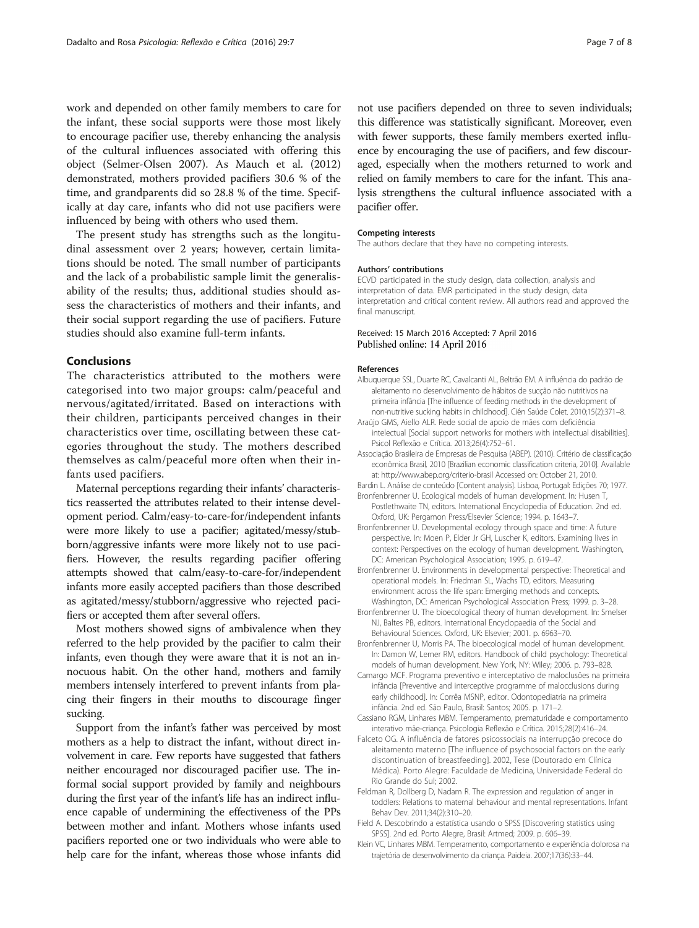<span id="page-6-0"></span>work and depended on other family members to care for the infant, these social supports were those most likely to encourage pacifier use, thereby enhancing the analysis of the cultural influences associated with offering this object (Selmer-Olsen [2007](#page-7-0)). As Mauch et al. ([2012](#page-7-0)) demonstrated, mothers provided pacifiers 30.6 % of the time, and grandparents did so 28.8 % of the time. Specifically at day care, infants who did not use pacifiers were influenced by being with others who used them.

The present study has strengths such as the longitudinal assessment over 2 years; however, certain limitations should be noted. The small number of participants and the lack of a probabilistic sample limit the generalisability of the results; thus, additional studies should assess the characteristics of mothers and their infants, and their social support regarding the use of pacifiers. Future studies should also examine full-term infants.

#### Conclusions

The characteristics attributed to the mothers were categorised into two major groups: calm/peaceful and nervous/agitated/irritated. Based on interactions with their children, participants perceived changes in their characteristics over time, oscillating between these categories throughout the study. The mothers described themselves as calm/peaceful more often when their infants used pacifiers.

Maternal perceptions regarding their infants' characteristics reasserted the attributes related to their intense development period. Calm/easy-to-care-for/independent infants were more likely to use a pacifier; agitated/messy/stubborn/aggressive infants were more likely not to use pacifiers. However, the results regarding pacifier offering attempts showed that calm/easy-to-care-for/independent infants more easily accepted pacifiers than those described as agitated/messy/stubborn/aggressive who rejected pacifiers or accepted them after several offers.

Most mothers showed signs of ambivalence when they referred to the help provided by the pacifier to calm their infants, even though they were aware that it is not an innocuous habit. On the other hand, mothers and family members intensely interfered to prevent infants from placing their fingers in their mouths to discourage finger sucking.

Support from the infant's father was perceived by most mothers as a help to distract the infant, without direct involvement in care. Few reports have suggested that fathers neither encouraged nor discouraged pacifier use. The informal social support provided by family and neighbours during the first year of the infant's life has an indirect influence capable of undermining the effectiveness of the PPs between mother and infant. Mothers whose infants used pacifiers reported one or two individuals who were able to help care for the infant, whereas those whose infants did not use pacifiers depended on three to seven individuals; this difference was statistically significant. Moreover, even with fewer supports, these family members exerted influence by encouraging the use of pacifiers, and few discouraged, especially when the mothers returned to work and relied on family members to care for the infant. This analysis strengthens the cultural influence associated with a pacifier offer.

#### Competing interests

The authors declare that they have no competing interests.

#### Authors' contributions

ECVD participated in the study design, data collection, analysis and interpretation of data. EMR participated in the study design, data interpretation and critical content review. All authors read and approved the final manuscript.

#### Received: 15 March 2016 Accepted: 7 April 2016 Published online: 14 April 2016

#### References

- Albuquerque SSL, Duarte RC, Cavalcanti AL, Beltrão EM. A influência do padrão de aleitamento no desenvolvimento de hábitos de sucção não nutritivos na primeira infância [The influence of feeding methods in the development of non-nutritive sucking habits in childhood]. Ciên Saúde Colet. 2010;15(2):371–8.
- Araújo GMS, Aiello ALR. Rede social de apoio de mães com deficiência intelectual [Social support networks for mothers with intellectual disabilities]. Psicol Reflexão e Crítica. 2013;26(4):752–61.
- Associação Brasileira de Empresas de Pesquisa (ABEP). (2010). Critério de classificação econômica Brasil, 2010 [Brazilian economic classification criteria, 2010]. Available at:<http://www.abep.org/criterio-brasil> Accessed on: October 21, 2010.
- Bardin L. Análise de conteúdo [Content analysis]. Lisboa, Portugal: Edições 70; 1977. Bronfenbrenner U. Ecological models of human development. In: Husen T,
- Postlethwaite TN, editors. International Encyclopedia of Education. 2nd ed. Oxford, UK: Pergamon Press/Elsevier Science; 1994. p. 1643–7.
- Bronfenbrenner U. Developmental ecology through space and time: A future perspective. In: Moen P, Elder Jr GH, Luscher K, editors. Examining lives in context: Perspectives on the ecology of human development. Washington, DC: American Psychological Association; 1995. p. 619–47.
- Bronfenbrenner U. Environments in developmental perspective: Theoretical and operational models. In: Friedman SL, Wachs TD, editors. Measuring environment across the life span: Emerging methods and concepts. Washington, DC: American Psychological Association Press; 1999. p. 3–28.
- Bronfenbrenner U. The bioecological theory of human development. In: Smelser NJ, Baltes PB, editors. International Encyclopaedia of the Social and Behavioural Sciences. Oxford, UK: Elsevier; 2001. p. 6963–70.
- Bronfenbrenner U, Morris PA. The bioecological model of human development. In: Damon W, Lerner RM, editors. Handbook of child psychology: Theoretical models of human development. New York, NY: Wiley; 2006. p. 793–828.
- Camargo MCF. Programa preventivo e interceptativo de maloclusões na primeira infância [Preventive and interceptive programme of malocclusions during early childhood]. In: Corrêa MSNP, editor. Odontopediatria na primeira infância. 2nd ed. São Paulo, Brasil: Santos; 2005. p. 171–2.
- Cassiano RGM, Linhares MBM. Temperamento, prematuridade e comportamento interativo mãe-criança. Psicologia Reflexão e Crítica. 2015;28(2):416–24.
- Falceto OG. A influência de fatores psicossociais na interrupção precoce do aleitamento materno [The influence of psychosocial factors on the early discontinuation of breastfeeding]. 2002, Tese (Doutorado em Clínica Médica). Porto Alegre: Faculdade de Medicina, Universidade Federal do Rio Grande do Sul; 2002.
- Feldman R, Dollberg D, Nadam R. The expression and regulation of anger in toddlers: Relations to maternal behaviour and mental representations. Infant Behav Dev. 2011;34(2):310–20.
- Field A. Descobrindo a estatística usando o SPSS [Discovering statistics using SPSS]. 2nd ed. Porto Alegre, Brasil: Artmed; 2009. p. 606–39.
- Klein VC, Linhares MBM. Temperamento, comportamento e experiência dolorosa na trajetória de desenvolvimento da criança. Paideia. 2007;17(36):33–44.